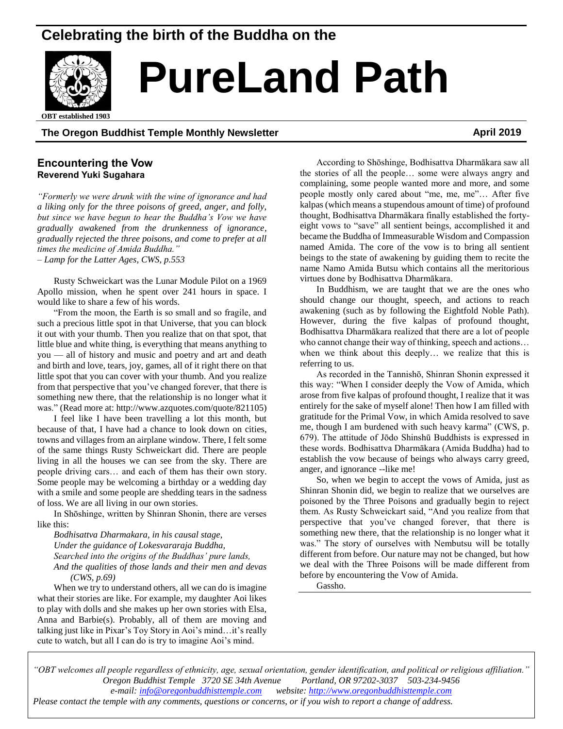# **Celebrating the birth of the Buddha on the**



# **PureLand Path**

ed 1903 **OBT established 1903**

#### **The Oregon Buddhist Temple Monthly Newsletter April 2019**

## **Encountering the Vow Reverend Yuki Sugahara**

*"Formerly we were drunk with the wine of ignorance and had a liking only for the three poisons of greed, anger, and folly, but since we have begun to hear the Buddha's Vow we have gradually awakened from the drunkenness of ignorance, gradually rejected the three poisons, and come to prefer at all times the medicine of Amida Buddha."*

*– Lamp for the Latter Ages, CWS, p.553*

Rusty Schweickart was the Lunar Module Pilot on a 1969 Apollo mission, when he spent over 241 hours in space. I would like to share a few of his words.

"From the moon, the Earth is so small and so fragile, and such a precious little spot in that Universe, that you can block it out with your thumb. Then you realize that on that spot, that little blue and white thing, is everything that means anything to you — all of history and music and poetry and art and death and birth and love, tears, joy, games, all of it right there on that little spot that you can cover with your thumb. And you realize from that perspective that you've changed forever, that there is something new there, that the relationship is no longer what it was." (Read more at: http://www.azquotes.com/quote/821105)

I feel like I have been travelling a lot this month, but because of that, I have had a chance to look down on cities, towns and villages from an airplane window. There, I felt some of the same things Rusty Schweickart did. There are people living in all the houses we can see from the sky. There are people driving cars… and each of them has their own story. Some people may be welcoming a birthday or a wedding day with a smile and some people are shedding tears in the sadness of loss. We are all living in our own stories.

In Shōshinge, written by Shinran Shonin, there are verses like this:

*Bodhisattva Dharmakara, in his causal stage, Under the guidance of Lokesvararaja Buddha, Searched into the origins of the Buddhas' pure lands, And the qualities of those lands and their men and devas (CWS, p.69)*

When we try to understand others, all we can do is imagine what their stories are like. For example, my daughter Aoi likes to play with dolls and she makes up her own stories with Elsa, Anna and Barbie(s). Probably, all of them are moving and talking just like in Pixar's Toy Story in Aoi's mind…it's really cute to watch, but all I can do is try to imagine Aoi's mind.

According to Shōshinge, Bodhisattva Dharmākara saw all the stories of all the people… some were always angry and complaining, some people wanted more and more, and some people mostly only cared about "me, me, me"… After five kalpas (which means a stupendous amount of time) of profound thought, Bodhisattva Dharmākara finally established the fortyeight vows to "save" all sentient beings, accomplished it and became the Buddha of Immeasurable Wisdom and Compassion named Amida. The core of the vow is to bring all sentient beings to the state of awakening by guiding them to recite the name Namo Amida Butsu which contains all the meritorious virtues done by Bodhisattva Dharmākara.

In Buddhism, we are taught that we are the ones who should change our thought, speech, and actions to reach awakening (such as by following the Eightfold Noble Path). However, during the five kalpas of profound thought, Bodhisattva Dharmākara realized that there are a lot of people who cannot change their way of thinking, speech and actions… when we think about this deeply… we realize that this is referring to us.

As recorded in the Tannishō, Shinran Shonin expressed it this way: "When I consider deeply the Vow of Amida, which arose from five kalpas of profound thought, I realize that it was entirely for the sake of myself alone! Then how I am filled with gratitude for the Primal Vow, in which Amida resolved to save me, though I am burdened with such heavy karma" (CWS, p. 679). The attitude of Jōdo Shinshū Buddhists is expressed in these words. Bodhisattva Dharmākara (Amida Buddha) had to establish the vow because of beings who always carry greed, anger, and ignorance --like me!

So, when we begin to accept the vows of Amida, just as Shinran Shonin did, we begin to realize that we ourselves are poisoned by the Three Poisons and gradually begin to reject them. As Rusty Schweickart said, "And you realize from that perspective that you've changed forever, that there is something new there, that the relationship is no longer what it was." The story of ourselves with Nembutsu will be totally different from before. Our nature may not be changed, but how we deal with the Three Poisons will be made different from before by encountering the Vow of Amida.

Gassho.

*"OBT welcomes all people regardless of ethnicity, age, sexual orientation, gender identification, and political or religious affiliation." Oregon Buddhist Temple 3720 SE 34th Avenue Portland, OR 97202-3037 503-234-9456 e-mail[: info@oregonbuddhisttemple.com](mailto:info@oregonbuddhisttemple.com) website: [http://www.oregonbuddhisttemple.com](http://www.oregonbuddhisttemple.com/)*

*Please contact the temple with any comments, questions or concerns, or if you wish to report a change of address.*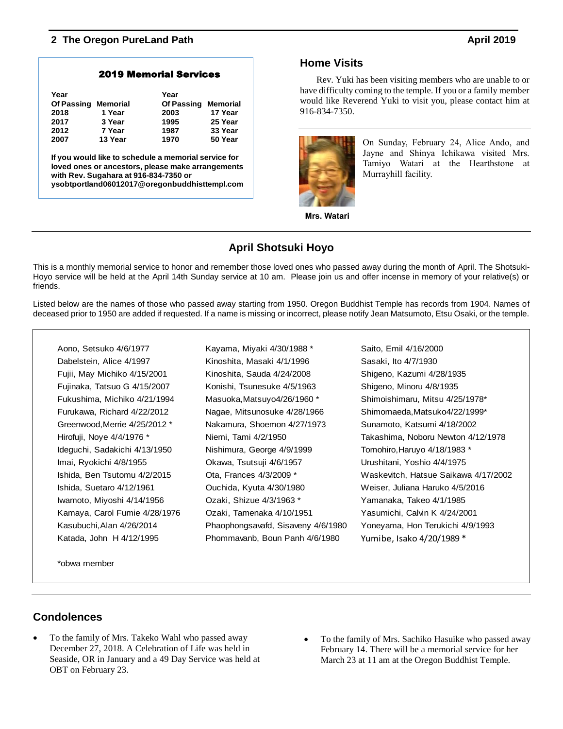#### 2019 Memorial Services

| Year                |         | Year                |         |
|---------------------|---------|---------------------|---------|
| Of Passing Memorial |         | Of Passing Memorial |         |
| 2018                | 1 Year  | 2003                | 17 Year |
| 2017                | 3 Year  | 1995                | 25 Year |
| 2012                | 7 Year  | 1987                | 33 Year |
| 2007                | 13 Year | 1970                | 50 Year |
|                     |         |                     |         |

**If you would like to schedule a memorial service for loved ones or ancestors, please make arrangements with Rev. Sugahara at 916-834-7350 or ysobtportland06012017@oregonbuddhisttempl.com**

## **Home Visits**

Rev. Yuki has been visiting members who are unable to or have difficulty coming to the temple. If you or a family member would like Reverend Yuki to visit you, please contact him at 916-834-7350.



On Sunday, February 24, Alice Ando, and Jayne and Shinya Ichikawa visited Mrs. Tamiyo Watari at the Hearthstone at Murrayhill facility.

 **Mrs. Watari**

# **April Shotsuki Hoyo**

This is a monthly memorial service to honor and remember those loved ones who passed away during the month of April. The Shotsuki-Hoyo service will be held at the April 14th Sunday service at 10 am. Please join us and offer incense in memory of your relative(s) or friends.

Listed below are the names of those who passed away starting from 1950. Oregon Buddhist Temple has records from 1904. Names of deceased prior to 1950 are added if requested. If a name is missing or incorrect, please notify Jean Matsumoto, Etsu Osaki, or the temple.

Aono, Setsuko 4/6/1977 Kayama, Miyaki 4/30/1988 \* Saito, Emil 4/16/2000 Katada, John H 4/12/1995 Phommavanb, Boun Panh 4/6/1980 Yumibe, Isako 4/20/1989 \*

Dabelstein, Alice 4/1997 Kinoshita, Masaki 4/1/1996 Sasaki, Ito 4/7/1930 Fujii, May Michiko 4/15/2001 Kinoshita, Sauda 4/24/2008 Shigeno, Kazumi 4/28/1935 Fujinaka, Tatsuo G 4/15/2007 Konishi, Tsunesuke 4/5/1963 Shigeno, Minoru 4/8/1935 Fukushima, Michiko 4/21/1994 Masuoka,Matsuyo4/26/1960 \* Shimoishimaru, Mitsu 4/25/1978\* Furukawa, Richard 4/22/2012 Nagae, Mitsunosuke 4/28/1966 Shimomaeda,Matsuko4/22/1999\* Greenwood,Merrie 4/25/2012 \* Nakamura, Shoemon 4/27/1973 Sunamoto, Katsumi 4/18/2002 Ideguchi, Sadakichi 4/13/1950 Nishimura, George 4/9/1999 Tomohiro,Haruyo 4/18/1983 \* Imai, Ryokichi 4/8/1955 Okawa, Tsutsuji 4/6/1957 Urushitani, Yoshio 4/4/1975 Ishida, Suetaro 4/12/1961 Ouchida, Kyuta 4/30/1980 Weiser, Juliana Haruko 4/5/2016 Iwamoto, Miyoshi 4/14/1956 Ozaki, Shizue 4/3/1963 \* Yamanaka, Takeo 4/1/1985 Kamaya, Carol Fumie 4/28/1976 Ozaki, Tamenaka 4/10/1951 Yasumichi, Calvin K 4/24/2001 Kasubuchi,Alan 4/26/2014 Phaophongsavafd, Sisaveny 4/6/1980 Yoneyama, Hon Terukichi 4/9/1993

Hirofuji, Noye 4/4/1976 \* Niemi, Tami 4/2/1950 Takashima, Noboru Newton 4/12/1978 Ishida, Ben Tsutomu 4/2/2015 Ota, Frances 4/3/2009 \* Waskevitch, Hatsue Saikawa 4/17/2002

\*obwa member

# **Condolences**

- To the family of Mrs. Takeko Wahl who passed away December 27, 2018. A Celebration of Life was held in Seaside, OR in January and a 49 Day Service was held at OBT on February 23.
- To the family of Mrs. Sachiko Hasuike who passed away February 14. There will be a memorial service for her March 23 at 11 am at the Oregon Buddhist Temple.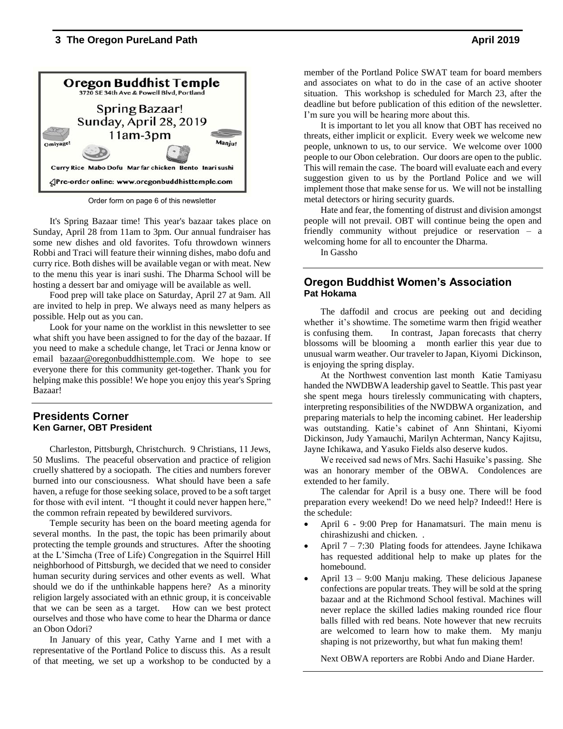

Order form on page 6 of this newsletter

It's Spring Bazaar time! This year's bazaar takes place on Sunday, April 28 from 11am to 3pm. Our annual fundraiser has some new dishes and old favorites. Tofu throwdown winners Robbi and Traci will feature their winning dishes, mabo dofu and curry rice. Both dishes will be available vegan or with meat. New to the menu this year is inari sushi. The Dharma School will be hosting a dessert bar and omiyage will be available as well.

Food prep will take place on Saturday, April 27 at 9am. All are invited to help in prep. We always need as many helpers as possible. Help out as you can.

Look for your name on the worklist in this newsletter to see what shift you have been assigned to for the day of the bazaar. If you need to make a schedule change, let Traci or Jenna know or email [bazaar@oregonbuddhisttemple.com.](mailto:bazaar@oregonbuddhisttemple.com) We hope to see everyone there for this community get-together. Thank you for helping make this possible! We hope you enjoy this year's Spring Bazaar!

#### **Presidents Corner Ken Garner, OBT President**

Charleston, Pittsburgh, Christchurch. 9 Christians, 11 Jews, 50 Muslims. The peaceful observation and practice of religion cruelly shattered by a sociopath. The cities and numbers forever burned into our consciousness. What should have been a safe haven, a refuge for those seeking solace, proved to be a soft target for those with evil intent. "I thought it could never happen here," the common refrain repeated by bewildered survivors.

Temple security has been on the board meeting agenda for several months. In the past, the topic has been primarily about protecting the temple grounds and structures. After the shooting at the L'Simcha (Tree of Life) Congregation in the Squirrel Hill neighborhood of Pittsburgh, we decided that we need to consider human security during services and other events as well. What should we do if the unthinkable happens here? As a minority religion largely associated with an ethnic group, it is conceivable that we can be seen as a target. How can we best protect ourselves and those who have come to hear the Dharma or dance an Obon Odori?

In January of this year, Cathy Yarne and I met with a representative of the Portland Police to discuss this. As a result of that meeting, we set up a workshop to be conducted by a member of the Portland Police SWAT team for board members and associates on what to do in the case of an active shooter situation. This workshop is scheduled for March 23, after the deadline but before publication of this edition of the newsletter. I'm sure you will be hearing more about this.

It is important to let you all know that OBT has received no threats, either implicit or explicit. Every week we welcome new people, unknown to us, to our service. We welcome over 1000 people to our Obon celebration. Our doors are open to the public. This will remain the case. The board will evaluate each and every suggestion given to us by the Portland Police and we will implement those that make sense for us. We will not be installing metal detectors or hiring security guards.

Hate and fear, the fomenting of distrust and division amongst people will not prevail. OBT will continue being the open and friendly community without prejudice or reservation – a welcoming home for all to encounter the Dharma.

In Gassho

### **Oregon Buddhist Women's Association Pat Hokama**

The daffodil and crocus are peeking out and deciding whether it's showtime. The sometime warm then frigid weather is confusing them. In contrast, Japan forecasts that cherry blossoms will be blooming a month earlier this year due to unusual warm weather. Our traveler to Japan, Kiyomi Dickinson, is enjoying the spring display.

At the Northwest convention last month Katie Tamiyasu handed the NWDBWA leadership gavel to Seattle. This past year she spent mega hours tirelessly communicating with chapters, interpreting responsibilities of the NWDBWA organization, and preparing materials to help the incoming cabinet. Her leadership was outstanding. Katie's cabinet of Ann Shintani, Kiyomi Dickinson, Judy Yamauchi, Marilyn Achterman, Nancy Kajitsu, Jayne Ichikawa, and Yasuko Fields also deserve kudos.

We received sad news of Mrs. Sachi Hasuike's passing. She was an honorary member of the OBWA. Condolences are extended to her family.

The calendar for April is a busy one. There will be food preparation every weekend! Do we need help? Indeed!! Here is the schedule:

- April 6 9:00 Prep for Hanamatsuri. The main menu is chirashizushi and chicken. .
- April 7 7:30 Plating foods for attendees. Jayne Ichikawa has requested additional help to make up plates for the homebound.
- April 13 9:00 Manju making. These delicious Japanese confections are popular treats. They will be sold at the spring bazaar and at the Richmond School festival. Machines will never replace the skilled ladies making rounded rice flour balls filled with red beans. Note however that new recruits are welcomed to learn how to make them. My manju shaping is not prizeworthy, but what fun making them!

Next OBWA reporters are Robbi Ando and Diane Harder.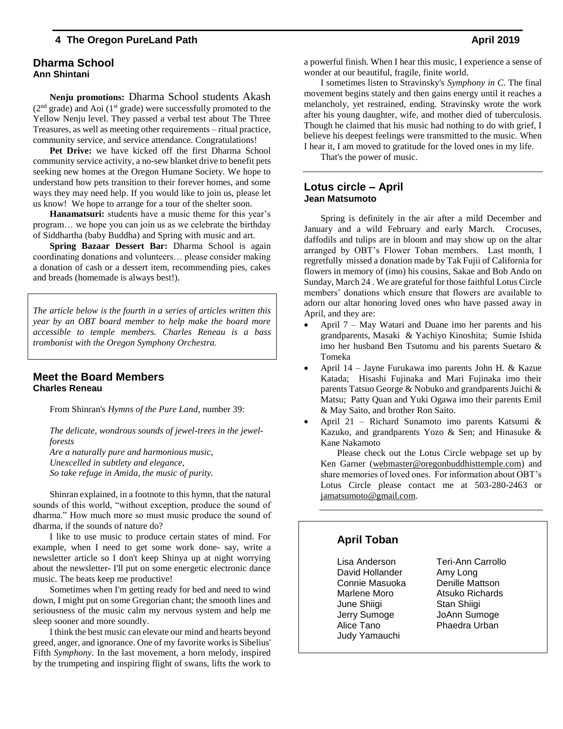#### **4 The Oregon PureLand Path April 2019 April 2019**

#### **Dharma School Ann Shintani**

**Nenju promotions:** Dharma School students Akash  $(2<sup>nd</sup> grade)$  and Aoi  $(1<sup>st</sup> grade)$  were successfully promoted to the Yellow Nenju level. They passed a verbal test about The Three Treasures, as well as meeting other requirements – ritual practice, community service, and service attendance. Congratulations!

Pet Drive: we have kicked off the first Dharma School community service activity, a no-sew blanket drive to benefit pets seeking new homes at the Oregon Humane Society. We hope to understand how pets transition to their forever homes, and some ways they may need help. If you would like to join us, please let us know! We hope to arrange for a tour of the shelter soon.

**Hanamatsuri:** students have a music theme for this year's program… we hope you can join us as we celebrate the birthday of Siddhartha (baby Buddha) and Spring with music and art.

**Spring Bazaar Dessert Bar:** Dharma School is again coordinating donations and volunteers… please consider making a donation of cash or a dessert item, recommending pies, cakes and breads (homemade is always best!).

*The article below is the fourth in a series of articles written this year by an OBT board member to help make the board more accessible to temple members. Charles Reneau is a bass trombonist with the Oregon Symphony Orchestra.*

#### **Meet the Board Members Charles Reneau**

From Shinran's *Hymns of the Pure Land*, number 39:

*The delicate, wondrous sounds of jewel-trees in the jewelforests Are a naturally pure and harmonious music, Unexcelled in subtlety and elegance, So take refuge in Amida, the music of purity.*

Shinran explained, in a footnote to this hymn, that the natural sounds of this world, "without exception, produce the sound of dharma." How much more so must music produce the sound of dharma, if the sounds of nature do?

I like to use music to produce certain states of mind. For example, when I need to get some work done- say, write a newsletter article so I don't keep Shinya up at night worrying about the newsletter- I'll put on some energetic electronic dance music. The beats keep me productive!

Sometimes when I'm getting ready for bed and need to wind down, I might put on some Gregorian chant; the smooth lines and seriousness of the music calm my nervous system and help me sleep sooner and more soundly.

I think the best music can elevate our mind and hearts beyond greed, anger, and ignorance. One of my favorite works is Sibelius' Fifth *Symphony*. In the last movement, a horn melody, inspired by the trumpeting and inspiring flight of swans, lifts the work to

a powerful finish. When I hear this music, I experience a sense of wonder at our beautiful, fragile, finite world.

I sometimes listen to Stravinsky's *Symphony in C*. The final movement begins stately and then gains energy until it reaches a melancholy, yet restrained, ending. Stravinsky wrote the work after his young daughter, wife, and mother died of tuberculosis. Though he claimed that his music had nothing to do with grief, I believe his deepest feelings were transmitted to the music. When I hear it, I am moved to gratitude for the loved ones in my life.

That's the power of music.

#### **Lotus circle – April Jean Matsumoto**

Spring is definitely in the air after a mild December and January and a wild February and early March. Crocuses, daffodils and tulips are in bloom and may show up on the altar arranged by OBT's Flower Toban members. Last month, I regretfully missed a donation made by Tak Fujii of California for flowers in memory of (imo) his cousins, Sakae and Bob Ando on Sunday, March 24 . We are grateful for those faithful Lotus Circle members' donations which ensure that flowers are available to adorn our altar honoring loved ones who have passed away in April, and they are:

- April 7 May Watari and Duane imo her parents and his grandparents, Masaki & Yachiyo Kinoshita; Sumie Ishida imo her husband Ben Tsutomu and his parents Suetaro & Tomeka
- April 14 Jayne Furukawa imo parents John H. & Kazue Katada; Hisashi Fujinaka and Mari Fujinaka imo their parents Tatsuo George & Nobuko and grandparents Juichi & Matsu; Patty Quan and Yuki Ogawa imo their parents Emil & May Saito, and brother Ron Saito.
- April 21 Richard Sunamoto imo parents Katsumi & Kazuko, and grandparents Yozo & Sen; and Hinasuke & Kane Nakamoto

Please check out the Lotus Circle webpage set up by Ken Garner [\(webmaster@oregonbuddhisttemple.com\)](mailto:webmaster@oregonbuddhisttemple.com) and share memories of loved ones. For information about OBT's Lotus Circle please contact me at 503-280-2463 or [jamatsumoto@gmail.com.](mailto:jamatsumoto@gmail.com)

# **April Toban**

Lisa Anderson Teri-Ann Carrollo David Hollander Amy Long Connie Masuoka Denille Mattson Marlene Moro **Atsuko Richards** June Shiigi Stan Shiigi Jerry Sumoge JoAnn Sumoge Alice Tano Phaedra Urban Judy Yamauchi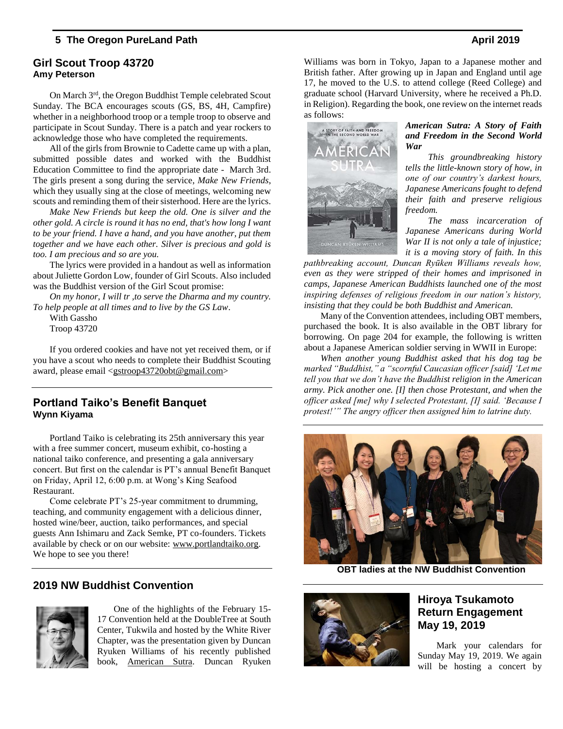#### **Girl Scout Troop 43720 Amy Peterson**

On March 3<sup>rd</sup>, the Oregon Buddhist Temple celebrated Scout Sunday. The BCA encourages scouts (GS, BS, 4H, Campfire) whether in a neighborhood troop or a temple troop to observe and participate in Scout Sunday. There is a patch and year rockers to acknowledge those who have completed the requirements.

All of the girls from Brownie to Cadette came up with a plan, submitted possible dates and worked with the Buddhist Education Committee to find the appropriate date - March 3rd. The girls present a song during the service, *Make New Friends*, which they usually sing at the close of meetings, welcoming new scouts and reminding them of their sisterhood. Here are the lyrics.

*Make New Friends but keep the old. One is silver and the other gold. A circle is round it has no end, that's how long I want to be your friend. I have a hand, and you have another, put them together and we have each other. Silver is precious and gold is too. I am precious and so are you.*

The lyrics were provided in a handout as well as information about Juliette Gordon Low, founder of Girl Scouts. Also included was the Buddhist version of the Girl Scout promise:

*On my honor, I will tr ,to serve the Dharma and my country. To help people at all times and to live by the GS Law*.

With Gassho Troop 43720

If you ordered cookies and have not yet received them, or if you have a scout who needs to complete their Buddhist Scouting award, please email [<gstroop43720obt@gmail.com>](mailto:gstroop43720obt@gmail.com)

### **Portland Taiko's Benefit Banquet Wynn Kiyama**

Portland Taiko is celebrating its 25th anniversary this year with a free summer concert, museum exhibit, co-hosting a national taiko conference, and presenting a gala anniversary concert. But first on the calendar is PT's annual Benefit Banquet on Friday, April 12, 6:00 p.m. at Wong's King Seafood Restaurant.

Come celebrate PT's 25-year commitment to drumming, teaching, and community engagement with a delicious dinner, hosted wine/beer, auction, taiko performances, and special guests Ann Ishimaru and Zack Semke, PT co-founders. Tickets available by check or on our website: [www.portlandtaiko.org.](http://www.portlandtaiko.org/) We hope to see you there!

#### **2019 NW Buddhist Convention**



One of the highlights of the February 15- 17 Convention held at the DoubleTree at South Center, Tukwila and hosted by the White River Chapter, was the presentation given by Duncan Ryuken Williams of his recently published book, American Sutra. Duncan Ryuken

Williams was born in Tokyo, Japan to a Japanese mother and British father. After growing up in Japan and England until age 17, he moved to the U.S. to attend college (Reed College) and graduate school (Harvard University, where he received a Ph.D. in Religion). Regarding the book, one review on the internet reads as follows:



#### *American Sutra: A Story of Faith and Freedom in the Second World War*

*This groundbreaking history tells the little-known story of how, in one of our country's darkest hours, Japanese Americans fought to defend their faith and preserve religious freedom.*

*The mass incarceration of Japanese Americans during World War II is not only a tale of injustice; it is a moving story of faith. In this* 

*pathbreaking account, Duncan Ryūken Williams reveals how, even as they were stripped of their homes and imprisoned in camps, Japanese American Buddhists launched one of the most inspiring defenses of religious freedom in our nation's history, insisting that they could be both Buddhist and American.*

Many of the Convention attendees, including OBT members, purchased the book. It is also available in the OBT library for borrowing. On page 204 for example, the following is written about a Japanese American soldier serving in WWII in Europe:

*When another young Buddhist asked that his dog tag be marked "Buddhist," a "scornful Caucasian officer [said] 'Let me tell you that we don't have the Buddhist religion in the American army. Pick another one. [I] then chose Protestant, and when the officer asked [me] why I selected Protestant, [I] said. 'Because I protest!'" The angry officer then assigned him to latrine duty.*



**OBT ladies at the NW Buddhist Convention**



# **Hiroya Tsukamoto Return Engagement May 19, 2019**

Mark your calendars for Sunday May 19, 2019. We again will be hosting a concert by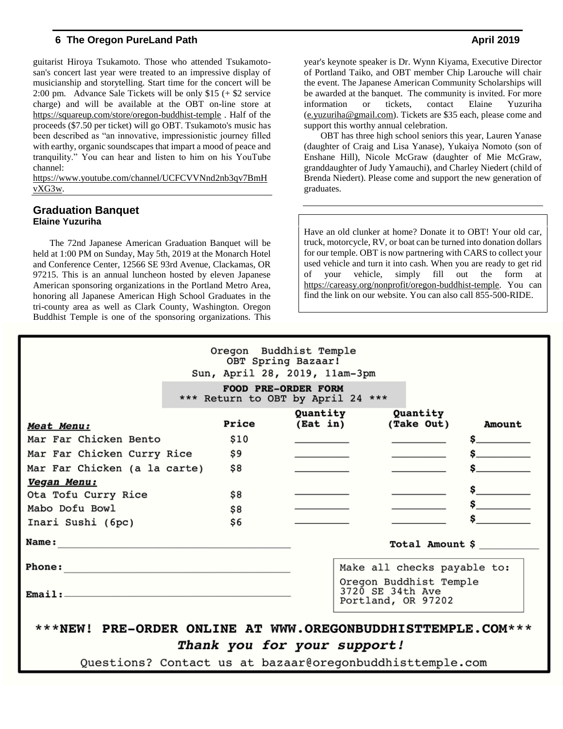guitarist Hiroya Tsukamoto. Those who attended Tsukamotosan's concert last year were treated to an impressive display of musicianship and storytelling. Start time for the concert will be 2:00 pm. Advance Sale Tickets will be only \$15 (+ \$2 service charge) and will be available at the OBT on-line store at <https://squareup.com/store/oregon-buddhist-temple> . Half of the proceeds (\$7.50 per ticket) will go OBT. Tsukamoto's music has been described as "an innovative, impressionistic journey filled with earthy, organic soundscapes that impart a mood of peace and tranquility." You can hear and listen to him on his YouTube channel:

[https://www.youtube.com/channel/UCFCVVNnd2nb3qv7BmH](https://www.youtube.com/channel/UCFCVVNnd2nb3qv7BmHvXG3w) [vXG3w.](https://www.youtube.com/channel/UCFCVVNnd2nb3qv7BmHvXG3w)

#### **Graduation Banquet Elaine Yuzuriha**

The 72nd Japanese American Graduation Banquet will be held at 1:00 PM on Sunday, May 5th, 2019 at the Monarch Hotel and Conference Center, 12566 SE 93rd Avenue, Clackamas, OR 97215. This is an annual luncheon hosted by eleven Japanese American sponsoring organizations in the Portland Metro Area, honoring all Japanese American High School Graduates in the tri-county area as well as Clark County, Washington. Oregon Buddhist Temple is one of the sponsoring organizations. This year's keynote speaker is Dr. Wynn Kiyama, Executive Director of Portland Taiko, and OBT member Chip Larouche will chair the event. The Japanese American Community Scholarships will be awarded at the banquet. The community is invited. For more information or tickets, contact Elaine Yuzuriha [\(e.yuzuriha@gmail.com\)](mailto:e.yuzuriha@gmail.com). Tickets are \$35 each, please come and support this worthy annual celebration.

OBT has three high school seniors this year, Lauren Yanase (daughter of Craig and Lisa Yanase), Yukaiya Nomoto (son of Enshane Hill), Nicole McGraw (daughter of Mie McGraw, granddaughter of Judy Yamauchi), and Charley Niedert (child of Brenda Niedert). Please come and support the new generation of graduates.

Have an old clunker at home? Donate it to OBT! Your old car, truck, motorcycle, RV, or boat can be turned into donation dollars for our temple. OBT is now partnering with CARS to collect your used vehicle and turn it into cash. When you are ready to get rid of your vehicle, simply fill out the form [https://careasy.org/nonprofit/oregon-buddhist-temple.](https://careasy.org/nonprofit/oregon-buddhist-temple) You can find the link on our website. You can also call 855-500-RIDE.

| Oregon Buddhist Temple<br>OBT Spring Bazaar!<br>Sun, April 28, 2019, 11am-3pm                                                                                                                                                 |       |                                                                  |                        |        |  |  |  |
|-------------------------------------------------------------------------------------------------------------------------------------------------------------------------------------------------------------------------------|-------|------------------------------------------------------------------|------------------------|--------|--|--|--|
| <b>FOOD PRE-ORDER FORM</b><br>*** Return to OBT by April 24 ***                                                                                                                                                               |       |                                                                  |                        |        |  |  |  |
| Meat Menu:                                                                                                                                                                                                                    | Price | Quantity<br>$($ Eat in $)$                                       | Quantity<br>(Take Out) | Amount |  |  |  |
| Mar Far Chicken Bento                                                                                                                                                                                                         | \$10  |                                                                  |                        |        |  |  |  |
| Mar Far Chicken Curry Rice                                                                                                                                                                                                    | \$9   |                                                                  |                        |        |  |  |  |
| Mar Far Chicken (a la carte)                                                                                                                                                                                                  | \$8   |                                                                  |                        |        |  |  |  |
| Vegan Menu:                                                                                                                                                                                                                   |       |                                                                  |                        |        |  |  |  |
| Ota Tofu Curry Rice                                                                                                                                                                                                           | \$8   |                                                                  |                        |        |  |  |  |
| Mabo Dofu Bowl                                                                                                                                                                                                                | \$8   |                                                                  |                        |        |  |  |  |
| Inari Sushi (6pc)                                                                                                                                                                                                             | \$6   |                                                                  |                        |        |  |  |  |
| Name: Name and the second contract of the second contract of the second contract of the second contract of the second contract of the second contract of the second contract of the second contract of the second contract of |       | Total Amount \$                                                  |                        |        |  |  |  |
| Phone:                                                                                                                                                                                                                        |       | Make all checks payable to:                                      |                        |        |  |  |  |
| Email:                                                                                                                                                                                                                        |       | Oregon Buddhist Temple<br>3720 SE 34th Ave<br>Portland, OR 97202 |                        |        |  |  |  |
| ***NEW! PRE-ORDER ONLINE AT WWW.OREGONBUDDHISTTEMPLE.COM***                                                                                                                                                                   |       |                                                                  |                        |        |  |  |  |
| Thank you for your support!                                                                                                                                                                                                   |       |                                                                  |                        |        |  |  |  |
| Questions? Contact us at bazaar@oregonbuddhisttemple.com                                                                                                                                                                      |       |                                                                  |                        |        |  |  |  |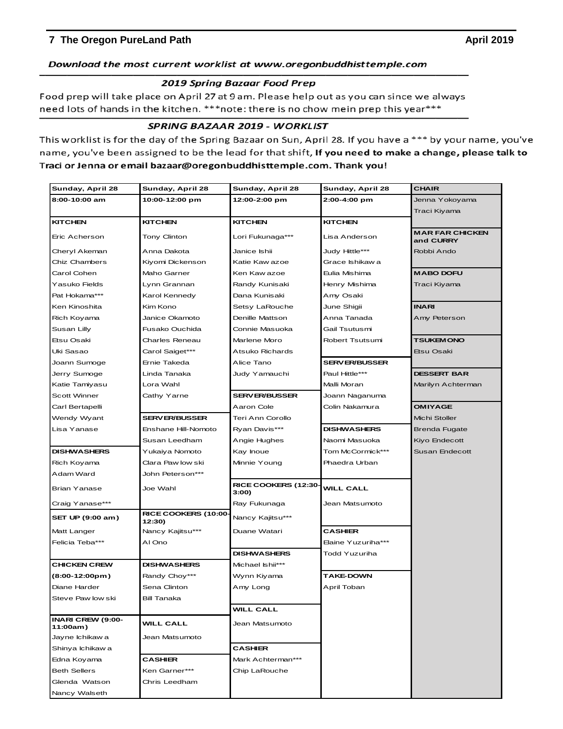#### Download the most current worklist at www.oregonbuddhisttemple.com

#### 2019 Spring Bazaar Food Prep

Food prep will take place on April 27 at 9 am. Please help out as you can since we always need lots of hands in the kitchen. \*\*\*note: there is no chow mein prep this year\*\*\*

#### SPRING BAZAAR 2019 - WORKLIST

This worklist is for the day of the Spring Bazaar on Sun, April 28. If you have a \*\*\* by your name, you've name, you've been assigned to be the lead for that shift, If you need to make a change, please talk to Traci or Jenna or email bazaar@oregonbuddhisttemple.com. Thank you!

| Sunday, April 28              | Sunday, April 28               | Sunday, April 28              | Sunday, April 28   | <b>CHAIR</b>                        |
|-------------------------------|--------------------------------|-------------------------------|--------------------|-------------------------------------|
| 8:00-10:00 am                 | 10:00-12:00 pm                 | 12:00-2:00 pm                 | 2:00-4:00 pm       | Jenna Yokoyama                      |
|                               |                                |                               |                    | Traci Kiyama                        |
| <b>KITCHEN</b>                | <b>KITCHEN</b>                 | <b>KITCHEN</b>                | <b>KITCHEN</b>     |                                     |
| Eric Acherson                 | <b>Tony Clinton</b>            | Lori Fukunaga***              | Lisa Anderson      | <b>MAR FAR CHICKEN</b><br>and CURRY |
| Cheryl Akeman                 | Anna Dakota                    | Janice Ishii                  | Judy Hittle***     | Robbi Ando                          |
| Chiz Chambers                 | Kiyomi Dickenson               | Katie Kaw azoe                | Grace Ishikaw a    |                                     |
| Carol Cohen                   | Maho Garner                    | Ken Kaw azoe                  | Eulia Mishima      | <b>MABO DOFU</b>                    |
| Yasuko Fields                 | Lynn Grannan                   | Randy Kunisaki                | Henry Mishima      | Traci Kiyama                        |
| Pat Hokama***                 | Karol Kennedy                  | Dana Kunisaki                 | Amy Osaki          |                                     |
| Ken Kinoshita                 | Kim Kono                       | Setsy LaRouche                | June Shigii        | <b>INARI</b>                        |
| Rich Koyama                   | Janice Okamoto                 | Denille Mattson               | Anna Tanada        | Amy Peterson                        |
| Susan Lilly                   | Fusako Ouchida                 | Connie Masuoka                | Gail Tsutusmi      |                                     |
| Etsu Osaki                    | Charles Reneau                 | Marlene Moro                  | Robert Tsutsumi    | <b>TSUKEM ONO</b>                   |
| Uki Sasao                     | Carol Saiget***                | Atsuko Richards               |                    | Etsu Osaki                          |
| Joann Sumoge                  | Ernie Takeda                   | Alice Tano                    | SERVER/BUSSER      |                                     |
| Jerry Sumoge                  | Linda Tanaka                   | Judy Yamauchi                 | Paul Hittle***     | <b>DESSERT BAR</b>                  |
| Katie Tamiyasu                | Lora Wahl                      |                               | Malli Moran        | Marilyn Achterman                   |
| <b>Scott Winner</b>           | Cathy Yarne                    | <b>SERVER/BUSSER</b>          | Joann Naganuma     |                                     |
| Carl Bertapelli               |                                | Aaron Cole                    | Colin Nakamura     | <b>OMIYAGE</b>                      |
| Wendy Wyant                   | SERVER/BUSSER                  | Teri Ann Corollo              |                    | Michi Stoller                       |
| Lisa Yanase                   | Enshane Hill-Nomoto            | Ryan Davis***                 | <b>DISHWASHERS</b> | <b>Brenda Fugate</b>                |
|                               | Susan Leedham                  | Angie Hughes                  | Naomi Masuoka      | Kiyo Endecott                       |
| <b>DISHWASHERS</b>            | Yukaiya Nomoto                 | Kay Inoue                     | Tom McCormick***   | Susan Endecott                      |
| Rich Koyama                   | Clara Paw low ski              | Minnie Young                  | Phaedra Urban      |                                     |
| Adam Ward                     | John Peterson***               |                               |                    |                                     |
| Brian Yanase                  | Joe Wahl                       | RICE COOKERS (12:30-<br>3:00) | <b>WILL CALL</b>   |                                     |
| Craig Yanase***               |                                | Ray Fukunaga                  | Jean Matsumoto     |                                     |
| SET UP (9:00 am)              | RICE COOKERS (10:00-<br>12:30) | Nancy Kajitsu***              |                    |                                     |
| Matt Langer                   | Nancy Kajitsu***               | Duane Watari                  | <b>CASHIER</b>     |                                     |
| Felicia Teba***               | Al Ono                         |                               | Elaine Yuzuriha*** |                                     |
|                               |                                | <b>DISHWASHERS</b>            | Todd Yuzuriha      |                                     |
| <b>CHICKEN CREW</b>           | <b>DISHWASHERS</b>             | Michael Ishii***              |                    |                                     |
| (8:00-12:00pm)                | Randy Choy***                  | Wynn Kiyama                   | <b>TAKE-DOWN</b>   |                                     |
| Diane Harder                  | Sena Clinton                   | Amy Long                      | April Toban        |                                     |
| Steve Paw low ski             | Bill Tanaka                    |                               |                    |                                     |
|                               |                                | <b>WILL CALL</b>              |                    |                                     |
| INARI CREW (9:00-<br>11:00am) | <b>WILL CALL</b>               | Jean Matsumoto                |                    |                                     |
| Jayne Ichikaw a               | Jean Matsumoto                 |                               |                    |                                     |
| Shinya Ichikawa               |                                | <b>CASHIER</b>                |                    |                                     |
| Edna Koyama                   | <b>CASHIER</b>                 | Mark Achterman***             |                    |                                     |
| <b>Beth Sellers</b>           | Ken Garner***                  | Chip LaRouche                 |                    |                                     |
| Glenda Watson                 | Chris Leedham                  |                               |                    |                                     |
| Nancy Walseth                 |                                |                               |                    |                                     |